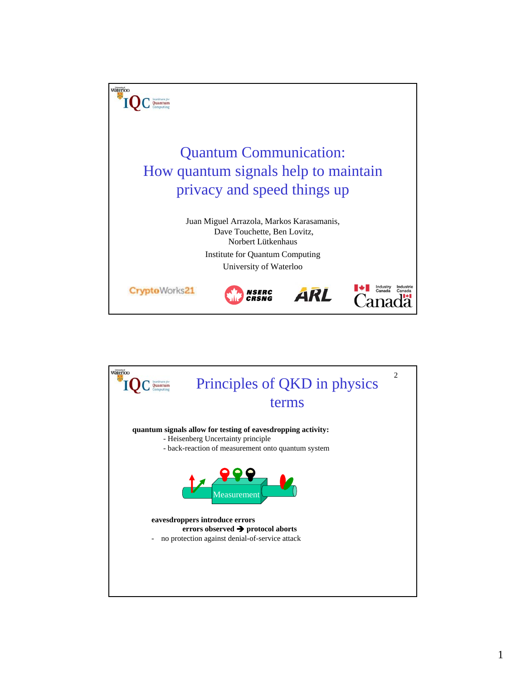

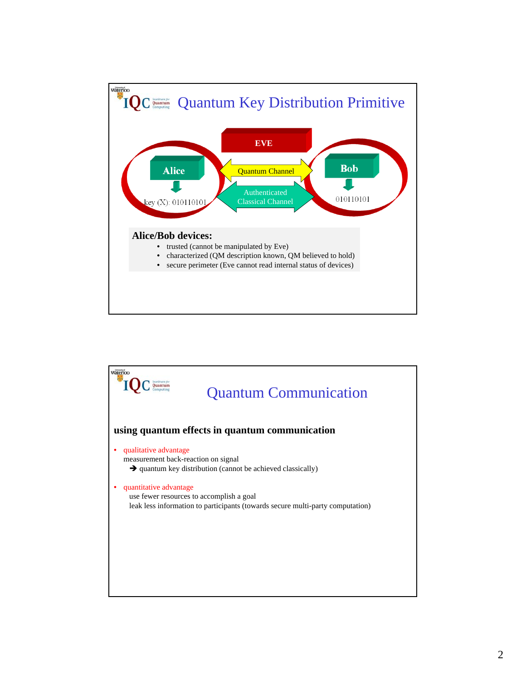

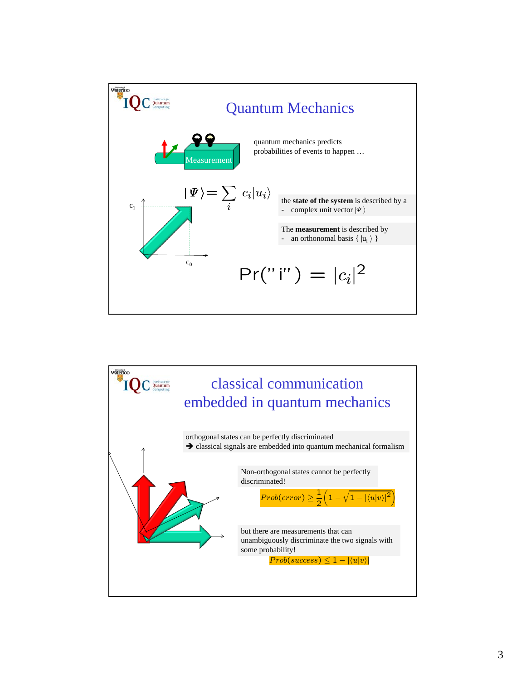

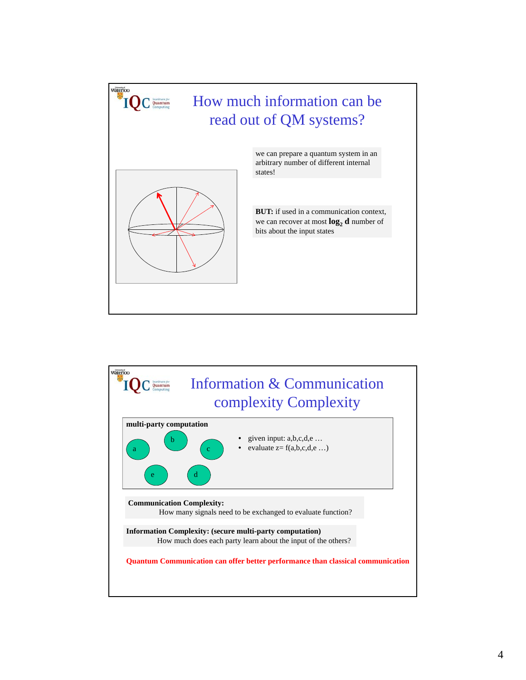

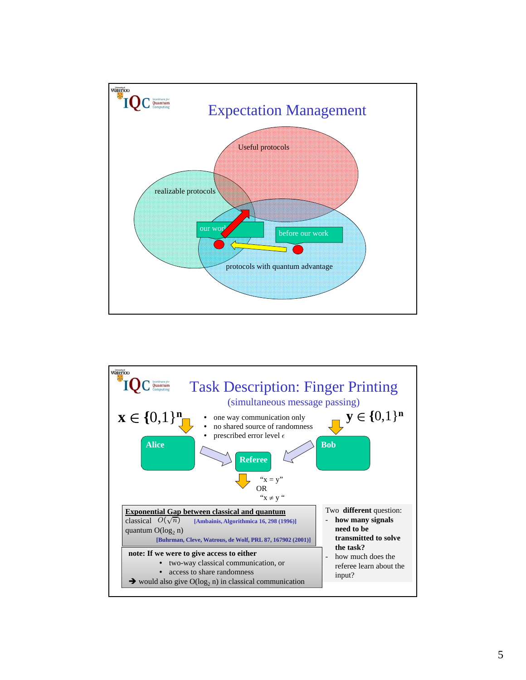

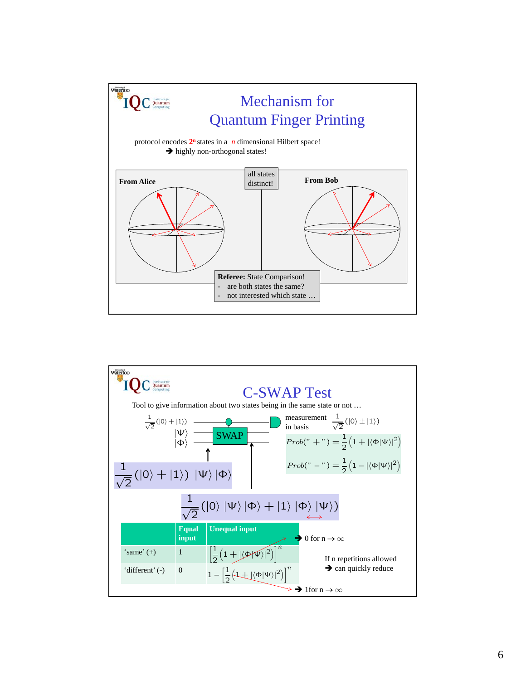

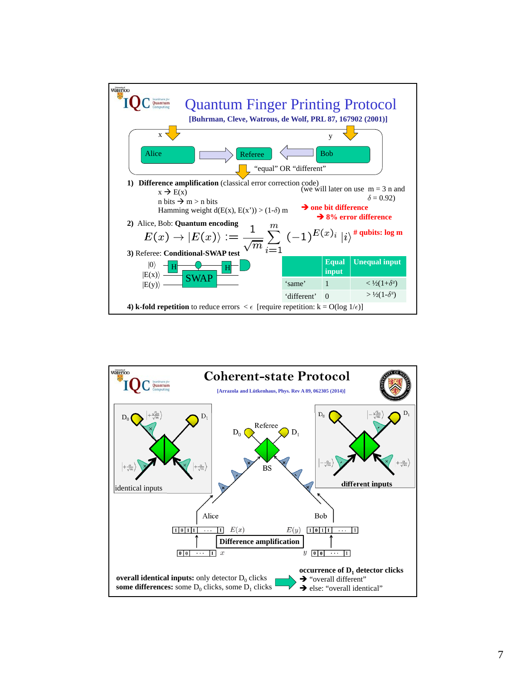

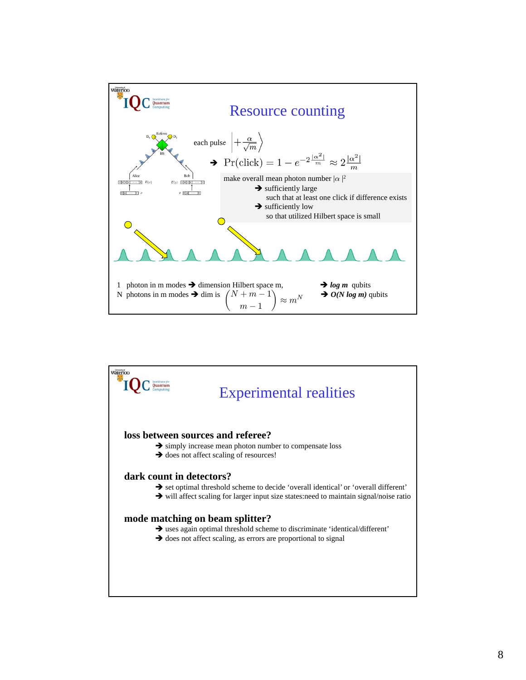

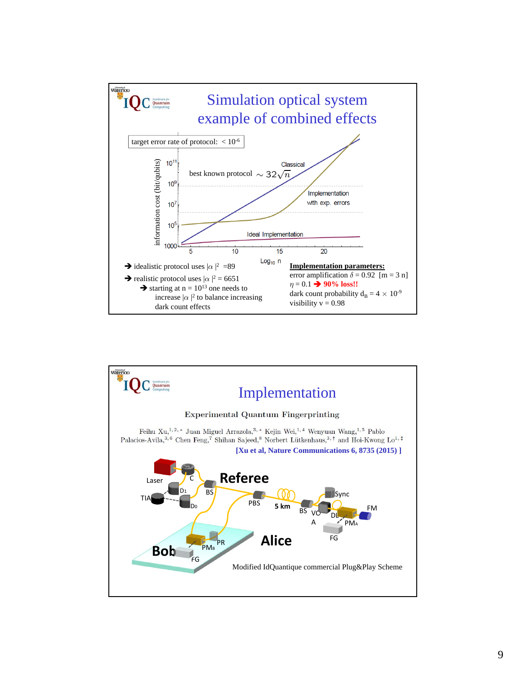

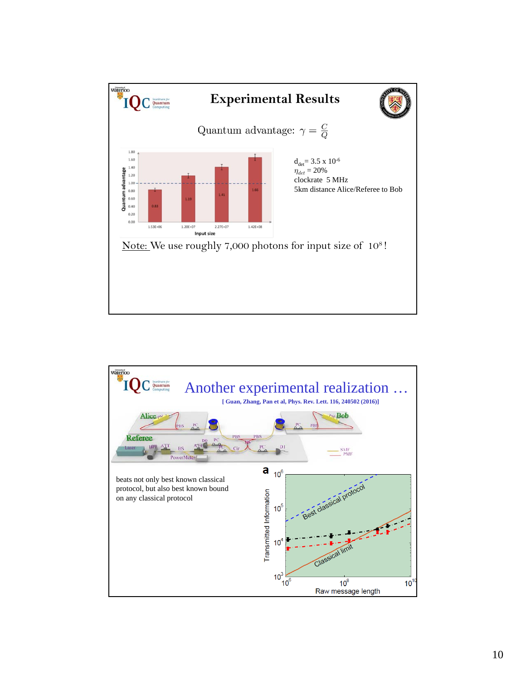

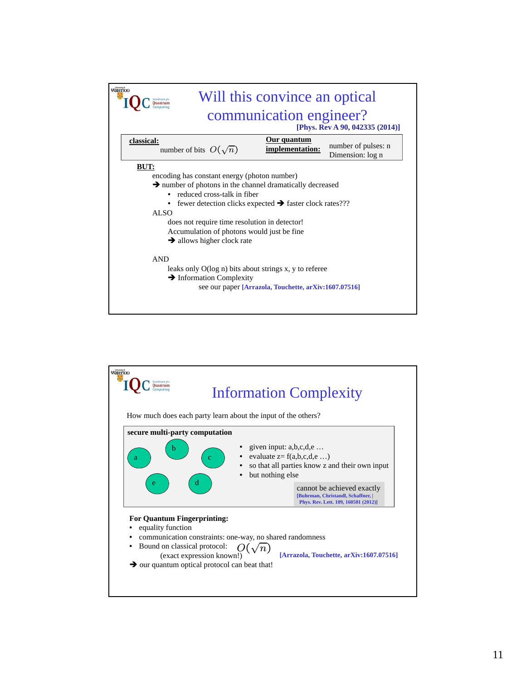| Waterloo   | Will this convince an optical                                                                                                                                                                                                                                                                                                                                                 |
|------------|-------------------------------------------------------------------------------------------------------------------------------------------------------------------------------------------------------------------------------------------------------------------------------------------------------------------------------------------------------------------------------|
|            | communication engineer?<br>[Phys. Rev A 90, 042335 (2014)]                                                                                                                                                                                                                                                                                                                    |
| classical: | <u>Our quantum</u><br>number of pulses: n<br>number of bits $O(\sqrt{n})$<br>implementation:<br>Dimension: log n                                                                                                                                                                                                                                                              |
| BUT:       | encoding has constant energy (photon number)<br>$\rightarrow$ number of photons in the channel dramatically decreased<br>reduced cross-talk in fiber<br>fewer detection clicks expected $\rightarrow$ faster clock rates???<br>ALSO<br>does not require time resolution in detector!<br>Accumulation of photons would just be fine.<br>$\rightarrow$ allows higher clock rate |
|            | <b>AND</b><br>leaks only O(log n) bits about strings x, y to referee<br>$\rightarrow$ Information Complexity<br>see our paper [Arrazola, Touchette, arXiv:1607.07516]                                                                                                                                                                                                         |